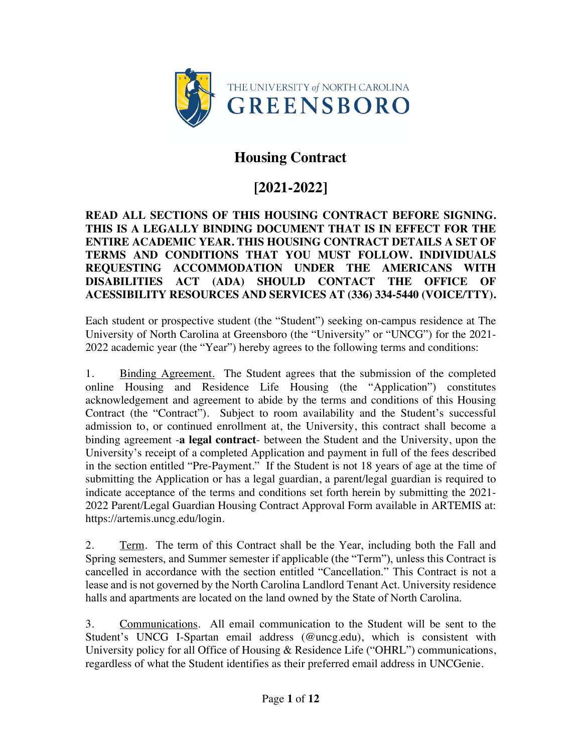

# **Housing Contract**

# **[2021-2022]**

#### **READ ALL SECTIONS OF THIS HOUSING CONTRACT BEFORE SIGNING. THIS IS A LEGALLY BINDING DOCUMENT THAT IS IN EFFECT FOR THE ENTIRE ACADEMIC YEAR. THIS HOUSING CONTRACT DETAILS A SET OF TERMS AND CONDITIONS THAT YOU MUST FOLLOW. INDIVIDUALS REQUESTING ACCOMMODATION UNDER THE AMERICANS WITH DISABILITIES ACT (ADA) SHOULD CONTACT THE OFFICE OF ACESSIBILITY RESOURCES AND SERVICES AT (336) 334-5440 (VOICE/TTY).**

Each student or prospective student (the "Student") seeking on-campus residence at The University of North Carolina at Greensboro (the "University" or "UNCG") for the 2021- 2022 academic year (the "Year") hereby agrees to the following terms and conditions:

1. Binding Agreement. The Student agrees that the submission of the completed online Housing and Residence Life Housing (the "Application") constitutes acknowledgement and agreement to abide by the terms and conditions of this Housing Contract (the "Contract"). Subject to room availability and the Student's successful admission to, or continued enrollment at, the University, this contract shall become a binding agreement -**a legal contract**- between the Student and the University, upon the University's receipt of a completed Application and payment in full of the fees described in the section entitled "Pre-Payment." If the Student is not 18 years of age at the time of submitting the Application or has a legal guardian, a parent/legal guardian is required to indicate acceptance of the terms and conditions set forth herein by submitting the 2021- 2022 Parent/Legal Guardian Housing Contract Approval Form available in ARTEMIS at: https://artemis.uncg.edu/login.

2. Term. The term of this Contract shall be the Year, including both the Fall and Spring semesters, and Summer semester if applicable (the "Term"), unless this Contract is cancelled in accordance with the section entitled "Cancellation." This Contract is not a lease and is not governed by the North Carolina Landlord Tenant Act. University residence halls and apartments are located on the land owned by the State of North Carolina.

3. Communications. All email communication to the Student will be sent to the Student's UNCG I-Spartan email address (@uncg.edu), which is consistent with University policy for all Office of Housing & Residence Life ("OHRL") communications, regardless of what the Student identifies as their preferred email address in UNCGenie.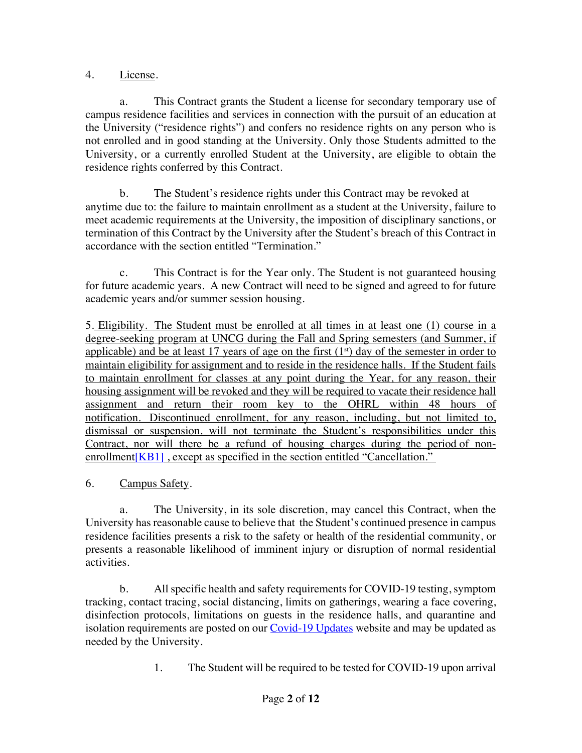### 4. License.

a. This Contract grants the Student a license for secondary temporary use of campus residence facilities and services in connection with the pursuit of an education at the University ("residence rights") and confers no residence rights on any person who is not enrolled and in good standing at the University. Only those Students admitted to the University, or a currently enrolled Student at the University, are eligible to obtain the residence rights conferred by this Contract.

b. The Student's residence rights under this Contract may be revoked at anytime due to: the failure to maintain enrollment as a student at the University, failure to meet academic requirements at the University, the imposition of disciplinary sanctions, or termination of this Contract by the University after the Student's breach of this Contract in accordance with the section entitled "Termination."

c. This Contract is for the Year only. The Student is not guaranteed housing for future academic years. A new Contract will need to be signed and agreed to for future academic years and/or summer session housing.

5. Eligibility. The Student must be enrolled at all times in at least one (1) course in a degree-seeking program at UNCG during the Fall and Spring semesters (and Summer, if applicable) and be at least 17 years of age on the first  $(1<sup>st</sup>)$  day of the semester in order to maintain eligibility for assignment and to reside in the residence halls. If the Student fails to maintain enrollment for classes at any point during the Year, for any reason, their housing assignment will be revoked and they will be required to vacate their residence hall assignment and return their room key to the OHRL within 48 hours of notification. Discontinued enrollment, for any reason, including, but not limited to, dismissal or suspension. will not terminate the Student's responsibilities under this Contract, nor will there be a refund of housing charges during the period of nonenrollment [KB1], except as specified in the section entitled "Cancellation."

## 6. Campus Safety.

a. The University, in its sole discretion, may cancel this Contract, when the University has reasonable cause to believe that the Student's continued presence in campus residence facilities presents a risk to the safety or health of the residential community, or presents a reasonable likelihood of imminent injury or disruption of normal residential activities.

b. All specific health and safety requirements for COVID-19 testing, symptom tracking, contact tracing, social distancing, limits on gatherings, wearing a face covering, disinfection protocols, limitations on guests in the residence halls, and quarantine and isolation requirements are posted on our **Covid-19 Updates** website and may be updated as needed by the University.

1. The Student will be required to be tested for COVID-19 upon arrival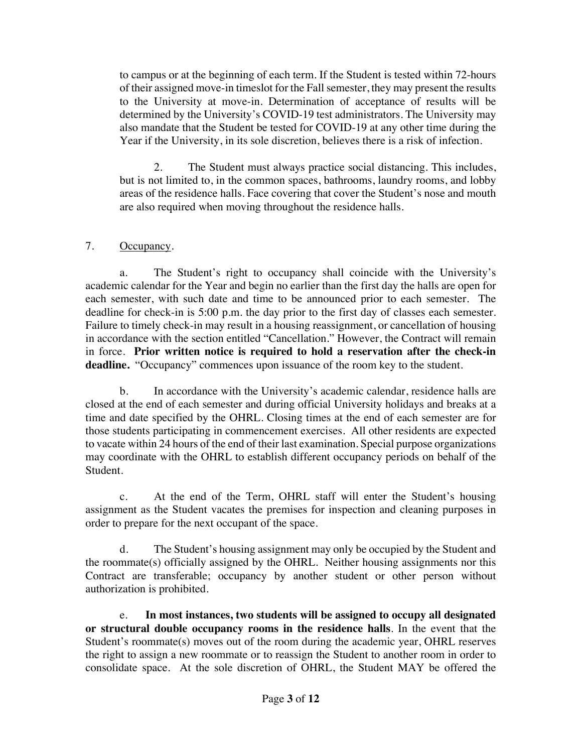to campus or at the beginning of each term. If the Student is tested within 72-hours of their assigned move-in timeslot for the Fall semester, they may present the results to the University at move-in. Determination of acceptance of results will be determined by the University's COVID-19 test administrators. The University may also mandate that the Student be tested for COVID-19 at any other time during the Year if the University, in its sole discretion, believes there is a risk of infection.

2. The Student must always practice social distancing. This includes, but is not limited to, in the common spaces, bathrooms, laundry rooms, and lobby areas of the residence halls. Face covering that cover the Student's nose and mouth are also required when moving throughout the residence halls.

### 7. Occupancy.

a. The Student's right to occupancy shall coincide with the University's academic calendar for the Year and begin no earlier than the first day the halls are open for each semester, with such date and time to be announced prior to each semester. The deadline for check-in is 5:00 p.m. the day prior to the first day of classes each semester. Failure to timely check-in may result in a housing reassignment, or cancellation of housing in accordance with the section entitled "Cancellation." However, the Contract will remain in force. **Prior written notice is required to hold a reservation after the check-in deadline.** "Occupancy" commences upon issuance of the room key to the student.

b. In accordance with the University's academic calendar, residence halls are closed at the end of each semester and during official University holidays and breaks at a time and date specified by the OHRL. Closing times at the end of each semester are for those students participating in commencement exercises. All other residents are expected to vacate within 24 hours of the end of their last examination. Special purpose organizations may coordinate with the OHRL to establish different occupancy periods on behalf of the Student.

c. At the end of the Term, OHRL staff will enter the Student's housing assignment as the Student vacates the premises for inspection and cleaning purposes in order to prepare for the next occupant of the space.

d. The Student's housing assignment may only be occupied by the Student and the roommate(s) officially assigned by the OHRL. Neither housing assignments nor this Contract are transferable; occupancy by another student or other person without authorization is prohibited.

e. **In most instances, two students will be assigned to occupy all designated or structural double occupancy rooms in the residence halls**. In the event that the Student's roommate(s) moves out of the room during the academic year, OHRL reserves the right to assign a new roommate or to reassign the Student to another room in order to consolidate space. At the sole discretion of OHRL, the Student MAY be offered the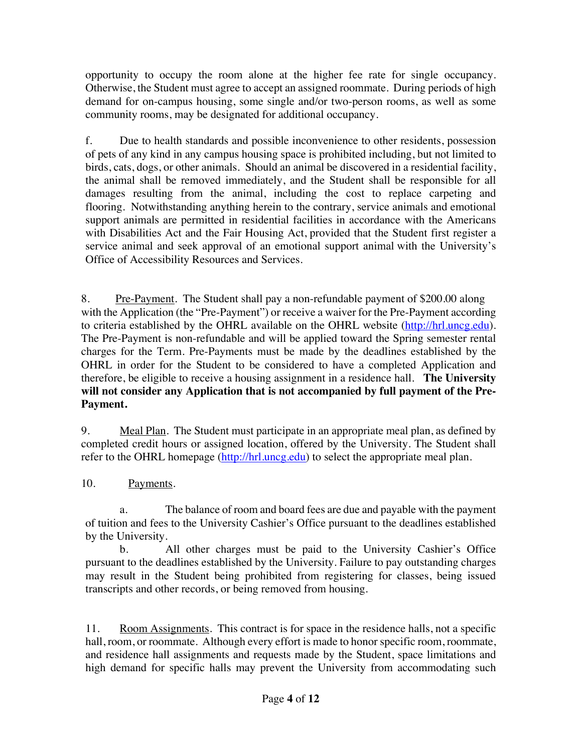opportunity to occupy the room alone at the higher fee rate for single occupancy. Otherwise, the Student must agree to accept an assigned roommate. During periods of high demand for on-campus housing, some single and/or two-person rooms, as well as some community rooms, may be designated for additional occupancy.

f. Due to health standards and possible inconvenience to other residents, possession of pets of any kind in any campus housing space is prohibited including, but not limited to birds, cats, dogs, or other animals. Should an animal be discovered in a residential facility, the animal shall be removed immediately, and the Student shall be responsible for all damages resulting from the animal, including the cost to replace carpeting and flooring. Notwithstanding anything herein to the contrary, service animals and emotional support animals are permitted in residential facilities in accordance with the Americans with Disabilities Act and the Fair Housing Act, provided that the Student first register a service animal and seek approval of an emotional support animal with the University's Office of Accessibility Resources and Services.

8. Pre-Payment. The Student shall pay a non-refundable payment of \$200.00 along with the Application (the "Pre-Payment") or receive a waiver for the Pre-Payment according to criteria established by the OHRL available on the OHRL website (http://hrl.uncg.edu). The Pre-Payment is non-refundable and will be applied toward the Spring semester rental charges for the Term. Pre-Payments must be made by the deadlines established by the OHRL in order for the Student to be considered to have a completed Application and therefore, be eligible to receive a housing assignment in a residence hall. **The University will not consider any Application that is not accompanied by full payment of the Pre-Payment.**

9. Meal Plan. The Student must participate in an appropriate meal plan, as defined by completed credit hours or assigned location, offered by the University. The Student shall refer to the OHRL homepage (http://hrl.uncg.edu) to select the appropriate meal plan.

10. Payments.

a. The balance of room and board fees are due and payable with the payment of tuition and fees to the University Cashier's Office pursuant to the deadlines established by the University.

b. All other charges must be paid to the University Cashier's Office pursuant to the deadlines established by the University. Failure to pay outstanding charges may result in the Student being prohibited from registering for classes, being issued transcripts and other records, or being removed from housing.

11. Room Assignments. This contract is for space in the residence halls, not a specific hall, room, or roommate. Although every effort is made to honor specific room, roommate, and residence hall assignments and requests made by the Student, space limitations and high demand for specific halls may prevent the University from accommodating such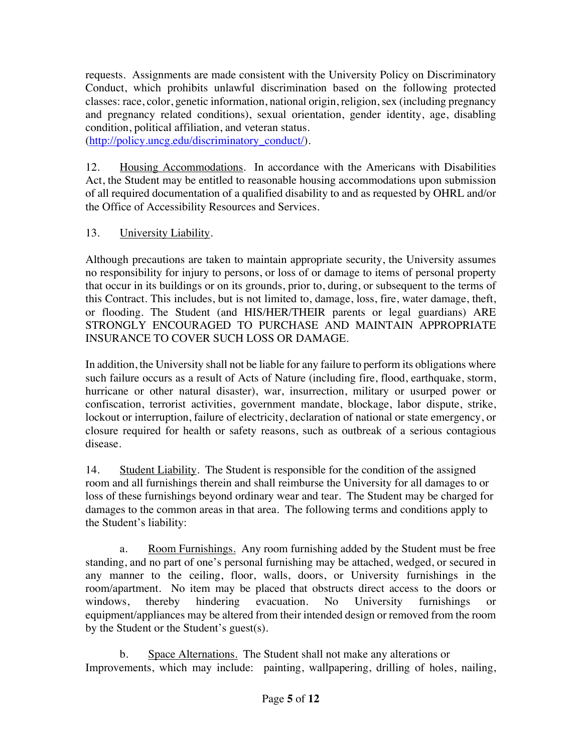requests. Assignments are made consistent with the University Policy on Discriminatory Conduct, which prohibits unlawful discrimination based on the following protected classes: race, color, genetic information, national origin, religion, sex (including pregnancy and pregnancy related conditions), sexual orientation, gender identity, age, disabling condition, political affiliation, and veteran status.

(http://policy.uncg.edu/discriminatory\_conduct/).

12. Housing Accommodations. In accordance with the Americans with Disabilities Act, the Student may be entitled to reasonable housing accommodations upon submission of all required documentation of a qualified disability to and as requested by OHRL and/or the Office of Accessibility Resources and Services.

# 13. University Liability.

Although precautions are taken to maintain appropriate security, the University assumes no responsibility for injury to persons, or loss of or damage to items of personal property that occur in its buildings or on its grounds, prior to, during, or subsequent to the terms of this Contract. This includes, but is not limited to, damage, loss, fire, water damage, theft, or flooding. The Student (and HIS/HER/THEIR parents or legal guardians) ARE STRONGLY ENCOURAGED TO PURCHASE AND MAINTAIN APPROPRIATE INSURANCE TO COVER SUCH LOSS OR DAMAGE.

In addition, the University shall not be liable for any failure to perform its obligations where such failure occurs as a result of Acts of Nature (including fire, flood, earthquake, storm, hurricane or other natural disaster), war, insurrection, military or usurped power or confiscation, terrorist activities, government mandate, blockage, labor dispute, strike, lockout or interruption, failure of electricity, declaration of national or state emergency, or closure required for health or safety reasons, such as outbreak of a serious contagious disease.

14. Student Liability. The Student is responsible for the condition of the assigned room and all furnishings therein and shall reimburse the University for all damages to or loss of these furnishings beyond ordinary wear and tear. The Student may be charged for damages to the common areas in that area. The following terms and conditions apply to the Student's liability:

a. Room Furnishings. Any room furnishing added by the Student must be free standing, and no part of one's personal furnishing may be attached, wedged, or secured in any manner to the ceiling, floor, walls, doors, or University furnishings in the room/apartment. No item may be placed that obstructs direct access to the doors or windows, thereby hindering evacuation. No University furnishings or equipment/appliances may be altered from their intended design or removed from the room by the Student or the Student's guest(s).

b. Space Alternations. The Student shall not make any alterations or Improvements, which may include: painting, wallpapering, drilling of holes, nailing,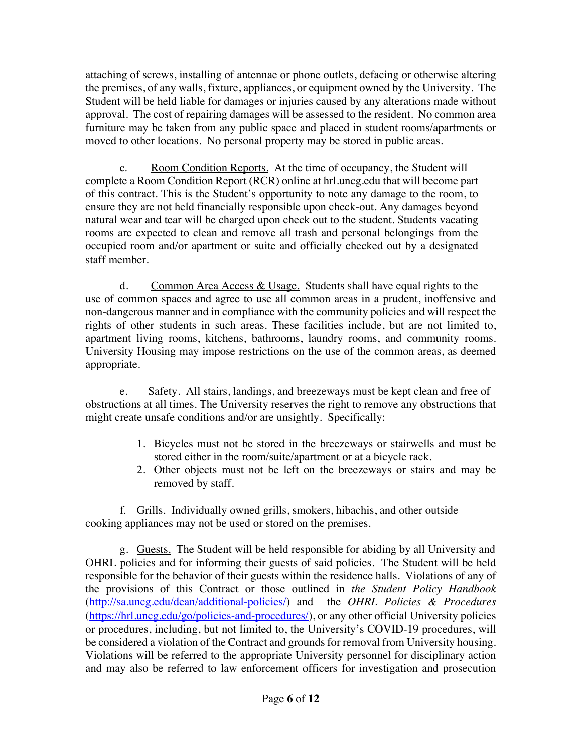attaching of screws, installing of antennae or phone outlets, defacing or otherwise altering the premises, of any walls, fixture, appliances, or equipment owned by the University. The Student will be held liable for damages or injuries caused by any alterations made without approval. The cost of repairing damages will be assessed to the resident. No common area furniture may be taken from any public space and placed in student rooms/apartments or moved to other locations. No personal property may be stored in public areas.

c. Room Condition Reports. At the time of occupancy, the Student will complete a Room Condition Report (RCR) online at hrl.uncg.edu that will become part of this contract. This is the Student's opportunity to note any damage to the room, to ensure they are not held financially responsible upon check-out. Any damages beyond natural wear and tear will be charged upon check out to the student. Students vacating rooms are expected to clean-and remove all trash and personal belongings from the occupied room and/or apartment or suite and officially checked out by a designated staff member.

d. Common Area Access  $&$  Usage. Students shall have equal rights to the use of common spaces and agree to use all common areas in a prudent, inoffensive and non-dangerous manner and in compliance with the community policies and will respect the rights of other students in such areas. These facilities include, but are not limited to, apartment living rooms, kitchens, bathrooms, laundry rooms, and community rooms. University Housing may impose restrictions on the use of the common areas, as deemed appropriate.

e. Safety. All stairs, landings, and breezeways must be kept clean and free of obstructions at all times. The University reserves the right to remove any obstructions that might create unsafe conditions and/or are unsightly. Specifically:

- 1. Bicycles must not be stored in the breezeways or stairwells and must be stored either in the room/suite/apartment or at a bicycle rack.
- 2. Other objects must not be left on the breezeways or stairs and may be removed by staff.

f. Grills. Individually owned grills, smokers, hibachis, and other outside cooking appliances may not be used or stored on the premises.

g. Guests. The Student will be held responsible for abiding by all University and OHRL policies and for informing their guests of said policies. The Student will be held responsible for the behavior of their guests within the residence halls. Violations of any of the provisions of this Contract or those outlined in *the Student Policy Handbook* (http://sa.uncg.edu/dean/additional-policies/) and the *OHRL Policies & Procedures* (https://hrl.uncg.edu/go/policies-and-procedures/), or any other official University policies or procedures, including, but not limited to, the University's COVID-19 procedures, will be considered a violation of the Contract and grounds for removal from University housing. Violations will be referred to the appropriate University personnel for disciplinary action and may also be referred to law enforcement officers for investigation and prosecution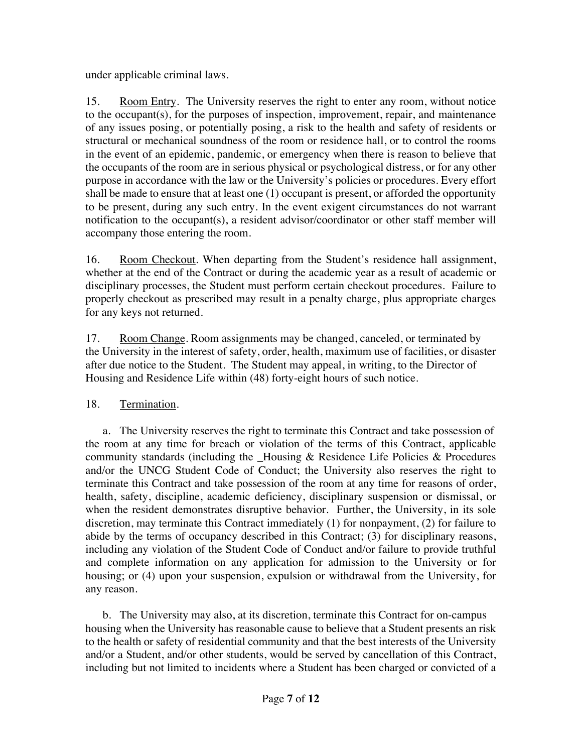under applicable criminal laws.

15. Room Entry. The University reserves the right to enter any room, without notice to the occupant(s), for the purposes of inspection, improvement, repair, and maintenance of any issues posing, or potentially posing, a risk to the health and safety of residents or structural or mechanical soundness of the room or residence hall, or to control the rooms in the event of an epidemic, pandemic, or emergency when there is reason to believe that the occupants of the room are in serious physical or psychological distress, or for any other purpose in accordance with the law or the University's policies or procedures. Every effort shall be made to ensure that at least one (1) occupant is present, or afforded the opportunity to be present, during any such entry. In the event exigent circumstances do not warrant notification to the occupant(s), a resident advisor/coordinator or other staff member will accompany those entering the room.

16. Room Checkout. When departing from the Student's residence hall assignment, whether at the end of the Contract or during the academic year as a result of academic or disciplinary processes, the Student must perform certain checkout procedures. Failure to properly checkout as prescribed may result in a penalty charge, plus appropriate charges for any keys not returned.

17. Room Change. Room assignments may be changed, canceled, or terminated by the University in the interest of safety, order, health, maximum use of facilities, or disaster after due notice to the Student. The Student may appeal, in writing, to the Director of Housing and Residence Life within (48) forty-eight hours of such notice.

## 18. Termination.

a. The University reserves the right to terminate this Contract and take possession of the room at any time for breach or violation of the terms of this Contract, applicable community standards (including the \_Housing & Residence Life Policies & Procedures and/or the UNCG Student Code of Conduct; the University also reserves the right to terminate this Contract and take possession of the room at any time for reasons of order, health, safety, discipline, academic deficiency, disciplinary suspension or dismissal, or when the resident demonstrates disruptive behavior. Further, the University, in its sole discretion, may terminate this Contract immediately (1) for nonpayment, (2) for failure to abide by the terms of occupancy described in this Contract; (3) for disciplinary reasons, including any violation of the Student Code of Conduct and/or failure to provide truthful and complete information on any application for admission to the University or for housing; or (4) upon your suspension, expulsion or withdrawal from the University, for any reason.

b. The University may also, at its discretion, terminate this Contract for on-campus housing when the University has reasonable cause to believe that a Student presents an risk to the health or safety of residential community and that the best interests of the University and/or a Student, and/or other students, would be served by cancellation of this Contract, including but not limited to incidents where a Student has been charged or convicted of a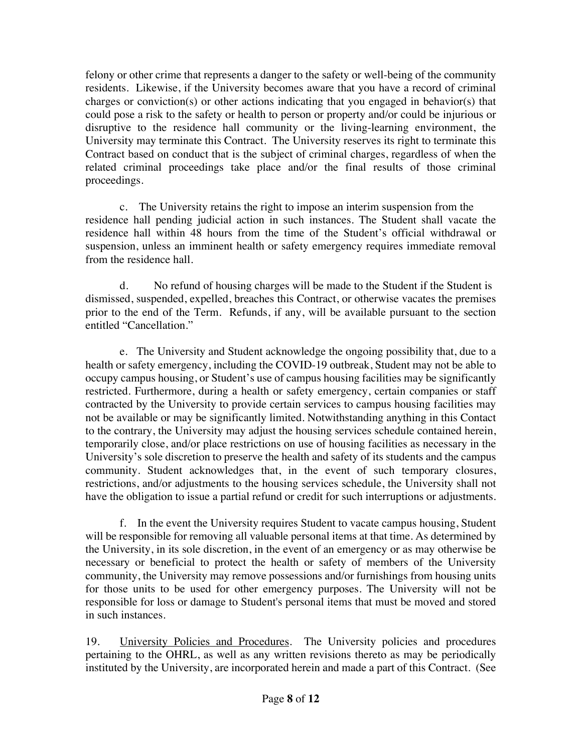felony or other crime that represents a danger to the safety or well-being of the community residents. Likewise, if the University becomes aware that you have a record of criminal charges or conviction(s) or other actions indicating that you engaged in behavior(s) that could pose a risk to the safety or health to person or property and/or could be injurious or disruptive to the residence hall community or the living-learning environment, the University may terminate this Contract. The University reserves its right to terminate this Contract based on conduct that is the subject of criminal charges, regardless of when the related criminal proceedings take place and/or the final results of those criminal proceedings.

c. The University retains the right to impose an interim suspension from the residence hall pending judicial action in such instances. The Student shall vacate the residence hall within 48 hours from the time of the Student's official withdrawal or suspension, unless an imminent health or safety emergency requires immediate removal from the residence hall.

d. No refund of housing charges will be made to the Student if the Student is dismissed, suspended, expelled, breaches this Contract, or otherwise vacates the premises prior to the end of the Term. Refunds, if any, will be available pursuant to the section entitled "Cancellation."

e. The University and Student acknowledge the ongoing possibility that, due to a health or safety emergency, including the COVID-19 outbreak, Student may not be able to occupy campus housing, or Student's use of campus housing facilities may be significantly restricted. Furthermore, during a health or safety emergency, certain companies or staff contracted by the University to provide certain services to campus housing facilities may not be available or may be significantly limited. Notwithstanding anything in this Contact to the contrary, the University may adjust the housing services schedule contained herein, temporarily close, and/or place restrictions on use of housing facilities as necessary in the University's sole discretion to preserve the health and safety of its students and the campus community. Student acknowledges that, in the event of such temporary closures, restrictions, and/or adjustments to the housing services schedule, the University shall not have the obligation to issue a partial refund or credit for such interruptions or adjustments.

f. In the event the University requires Student to vacate campus housing, Student will be responsible for removing all valuable personal items at that time. As determined by the University, in its sole discretion, in the event of an emergency or as may otherwise be necessary or beneficial to protect the health or safety of members of the University community, the University may remove possessions and/or furnishings from housing units for those units to be used for other emergency purposes. The University will not be responsible for loss or damage to Student's personal items that must be moved and stored in such instances.

19. University Policies and Procedures. The University policies and procedures pertaining to the OHRL, as well as any written revisions thereto as may be periodically instituted by the University, are incorporated herein and made a part of this Contract. (See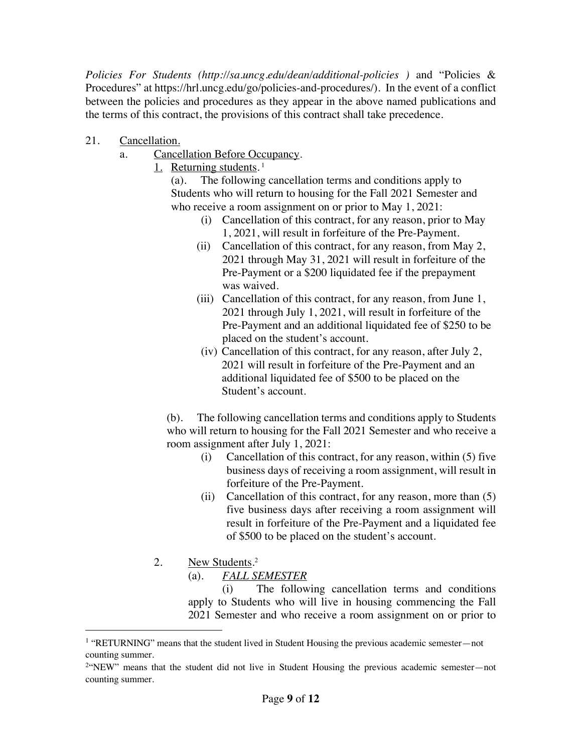*Policies For Students (http://sa.uncg.edu/dean/additional-policies )* and "Policies & Procedures" at https://hrl.uncg.edu/go/policies-and-procedures/). In the event of a conflict between the policies and procedures as they appear in the above named publications and the terms of this contract, the provisions of this contract shall take precedence.

- 21. Cancellation.
	- a. Cancellation Before Occupancy.
		- 1. Returning students.<sup>1</sup>

(a). The following cancellation terms and conditions apply to Students who will return to housing for the Fall 2021 Semester and who receive a room assignment on or prior to May 1, 2021:

- (i) Cancellation of this contract, for any reason, prior to May 1, 2021, will result in forfeiture of the Pre-Payment.
- (ii) Cancellation of this contract, for any reason, from May 2, 2021 through May 31, 2021 will result in forfeiture of the Pre-Payment or a \$200 liquidated fee if the prepayment was waived.
- (iii) Cancellation of this contract, for any reason, from June 1, 2021 through July 1, 2021, will result in forfeiture of the Pre-Payment and an additional liquidated fee of \$250 to be placed on the student's account.
- (iv) Cancellation of this contract, for any reason, after July 2, 2021 will result in forfeiture of the Pre-Payment and an additional liquidated fee of \$500 to be placed on the Student's account.

(b). The following cancellation terms and conditions apply to Students who will return to housing for the Fall 2021 Semester and who receive a room assignment after July 1, 2021:

- (i) Cancellation of this contract, for any reason, within (5) five business days of receiving a room assignment, will result in forfeiture of the Pre-Payment.
- (ii) Cancellation of this contract, for any reason, more than (5) five business days after receiving a room assignment will result in forfeiture of the Pre-Payment and a liquidated fee of \$500 to be placed on the student's account.
- 2. New Students.<sup>2</sup>

(a). *FALL SEMESTER*

(i) The following cancellation terms and conditions apply to Students who will live in housing commencing the Fall 2021 Semester and who receive a room assignment on or prior to

<sup>&</sup>lt;sup>1</sup> "RETURNING" means that the student lived in Student Housing the previous academic semester—not counting summer.

<sup>2&</sup>quot;NEW" means that the student did not live in Student Housing the previous academic semester—not counting summer.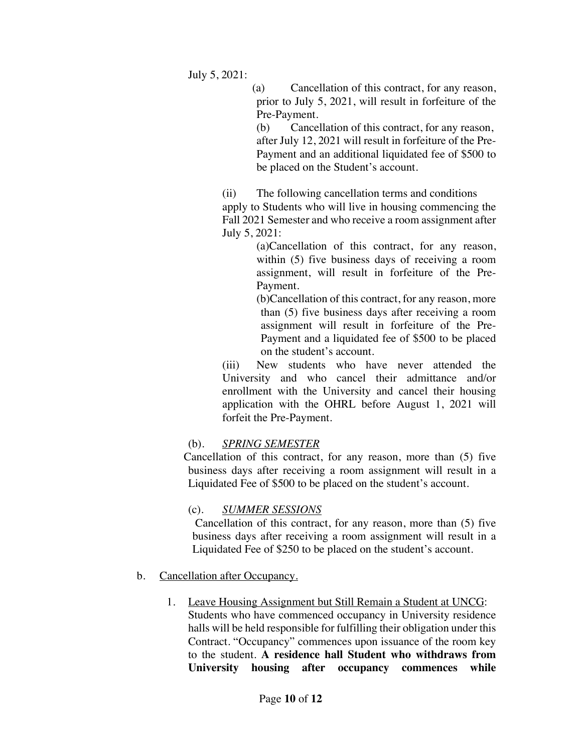July 5, 2021:

(a) Cancellation of this contract, for any reason, prior to July 5, 2021, will result in forfeiture of the Pre-Payment.

(b) Cancellation of this contract, for any reason, after July 12, 2021 will result in forfeiture of the Pre-Payment and an additional liquidated fee of \$500 to be placed on the Student's account.

(ii) The following cancellation terms and conditions

apply to Students who will live in housing commencing the Fall 2021 Semester and who receive a room assignment after July 5, 2021:

(a)Cancellation of this contract, for any reason, within (5) five business days of receiving a room assignment, will result in forfeiture of the Pre-Payment.

(b)Cancellation of this contract, for any reason, more than (5) five business days after receiving a room assignment will result in forfeiture of the Pre-Payment and a liquidated fee of \$500 to be placed on the student's account.

(iii) New students who have never attended the University and who cancel their admittance and/or enrollment with the University and cancel their housing application with the OHRL before August 1, 2021 will forfeit the Pre-Payment.

## (b)*. SPRING SEMESTER*

Cancellation of this contract, for any reason, more than (5) five business days after receiving a room assignment will result in a Liquidated Fee of \$500 to be placed on the student's account.

## (c)*. SUMMER SESSIONS*

Cancellation of this contract, for any reason, more than (5) five business days after receiving a room assignment will result in a Liquidated Fee of \$250 to be placed on the student's account.

## b. Cancellation after Occupancy.

1. Leave Housing Assignment but Still Remain a Student at UNCG: Students who have commenced occupancy in University residence halls will be held responsible for fulfilling their obligation under this Contract. "Occupancy" commences upon issuance of the room key to the student. **A residence hall Student who withdraws from University housing after occupancy commences while**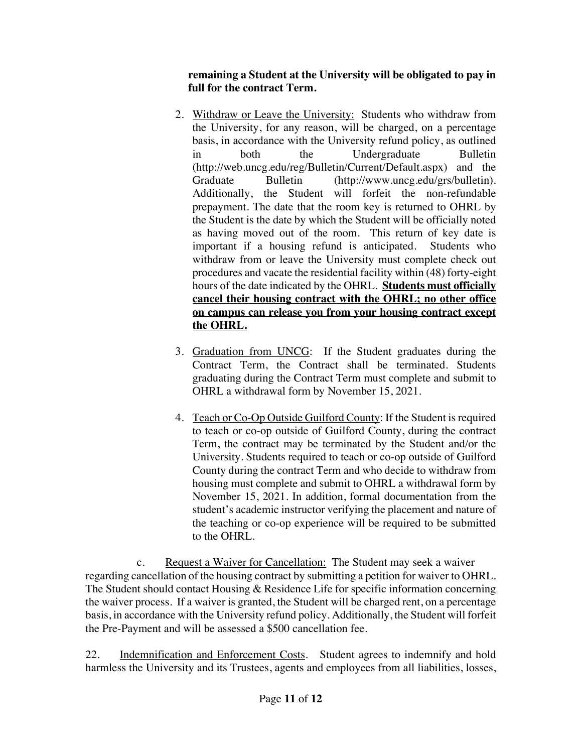**remaining a Student at the University will be obligated to pay in full for the contract Term.** 

- 2. Withdraw or Leave the University: Students who withdraw from the University, for any reason, will be charged, on a percentage basis, in accordance with the University refund policy, as outlined in both the Undergraduate Bulletin (http://web.uncg.edu/reg/Bulletin/Current/Default.aspx) and the Graduate Bulletin (http://www.uncg.edu/grs/bulletin). Additionally, the Student will forfeit the non-refundable prepayment. The date that the room key is returned to OHRL by the Student is the date by which the Student will be officially noted as having moved out of the room. This return of key date is important if a housing refund is anticipated. Students who withdraw from or leave the University must complete check out procedures and vacate the residential facility within (48) forty-eight hours of the date indicated by the OHRL. **Students must officially cancel their housing contract with the OHRL; no other office on campus can release you from your housing contract except the OHRL.**
- 3. Graduation from UNCG: If the Student graduates during the Contract Term, the Contract shall be terminated. Students graduating during the Contract Term must complete and submit to OHRL a withdrawal form by November 15, 2021.
- 4. Teach or Co-Op Outside Guilford County: If the Student is required to teach or co-op outside of Guilford County, during the contract Term, the contract may be terminated by the Student and/or the University. Students required to teach or co-op outside of Guilford County during the contract Term and who decide to withdraw from housing must complete and submit to OHRL a withdrawal form by November 15, 2021. In addition, formal documentation from the student's academic instructor verifying the placement and nature of the teaching or co-op experience will be required to be submitted to the OHRL.

c. Request a Waiver for Cancellation: The Student may seek a waiver regarding cancellation of the housing contract by submitting a petition for waiver to OHRL. The Student should contact Housing & Residence Life for specific information concerning the waiver process. If a waiver is granted, the Student will be charged rent, on a percentage basis, in accordance with the University refund policy. Additionally, the Student will forfeit the Pre-Payment and will be assessed a \$500 cancellation fee.

22. Indemnification and Enforcement Costs. Student agrees to indemnify and hold harmless the University and its Trustees, agents and employees from all liabilities, losses,